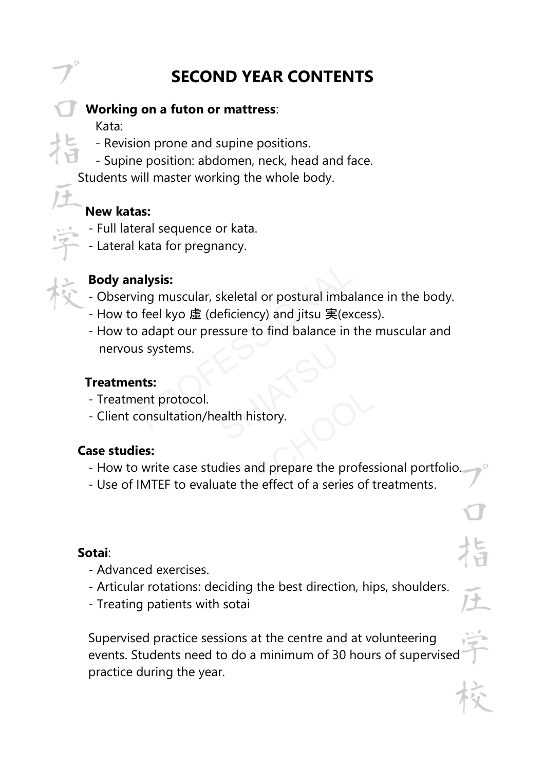# **SECOND YEAR CONTENTS**

#### **Working on a futon or mattress**:

Kata:

- Revision prone and supine positions.
- Supine position: abdomen, neck, head and face.

Students will master working the whole body.

#### **New katas:**

- Full lateral sequence or kata.
- Lateral kata for pregnancy.



#### **Body analysis:**

- Observing muscular, skeletal or postural imbalance in the body.
- How to feel kyo 虚 (deficiency) and jitsu 実(excess).
- How to adapt our pressure to find balance in the muscular and nervous systems.

#### **Treatments:**

- Treatment protocol.
- Client consultation/health history.

#### **Case studies:**

- How to write case studies and prepare the professional portfolio.
- Use of IMTEF to evaluate the effect of a series of treatments.

#### **Sotai**:

- Advanced exercises.
- Articular rotations: deciding the best direction, hips, shoulders.
- Treating patients with sotai

 Supervised practice sessions at the centre and at volunteering events. Students need to do a minimum of 30 hours of supervised practice during the year.